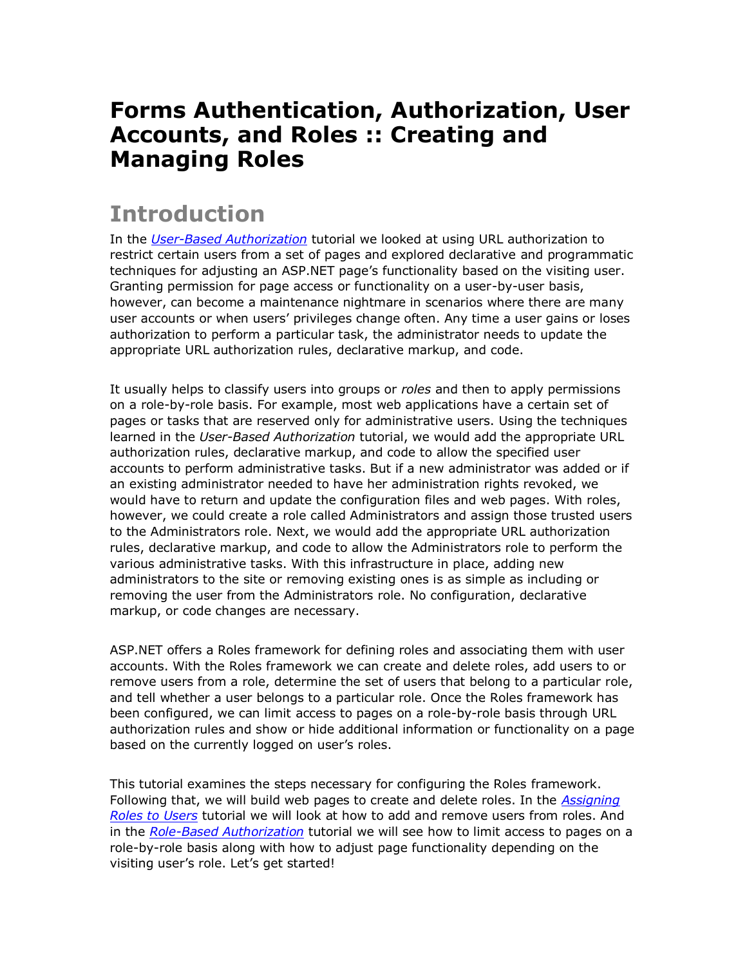#### **Forms Authentication, Authorization, User Accounts, and Roles :: Creating and Managing Roles**

#### **Introduction**

In the *[User-Based Authorization](http://www.asp.net/learn/security/tutorial-07-cs.aspx)* tutorial we looked at using URL authorization to restrict certain users from a set of pages and explored declarative and programmatic techniques for adjusting an ASP.NET page's functionality based on the visiting user. Granting permission for page access or functionality on a user-by-user basis, however, can become a maintenance nightmare in scenarios where there are many user accounts or when users' privileges change often. Any time a user gains or loses authorization to perform a particular task, the administrator needs to update the appropriate URL authorization rules, declarative markup, and code.

It usually helps to classify users into groups or *roles* and then to apply permissions on a role-by-role basis. For example, most web applications have a certain set of pages or tasks that are reserved only for administrative users. Using the techniques learned in the *User-Based Authorization* tutorial, we would add the appropriate URL authorization rules, declarative markup, and code to allow the specified user accounts to perform administrative tasks. But if a new administrator was added or if an existing administrator needed to have her administration rights revoked, we would have to return and update the configuration files and web pages. With roles, however, we could create a role called Administrators and assign those trusted users to the Administrators role. Next, we would add the appropriate URL authorization rules, declarative markup, and code to allow the Administrators role to perform the various administrative tasks. With this infrastructure in place, adding new administrators to the site or removing existing ones is as simple as including or removing the user from the Administrators role. No configuration, declarative markup, or code changes are necessary.

ASP.NET offers a Roles framework for defining roles and associating them with user accounts. With the Roles framework we can create and delete roles, add users to or remove users from a role, determine the set of users that belong to a particular role, and tell whether a user belongs to a particular role. Once the Roles framework has been configured, we can limit access to pages on a role-by-role basis through URL authorization rules and show or hide additional information or functionality on a page based on the currently logged on user's roles.

This tutorial examines the steps necessary for configuring the Roles framework. Following that, we will build web pages to create and delete roles. In the *[Assigning](http://www.asp.net/learn/security/tutorial-10-cs.aspx)  [Roles to Users](http://www.asp.net/learn/security/tutorial-10-cs.aspx)* tutorial we will look at how to add and remove users from roles. And in the *[Role-Based Authorization](http://www.asp.net/learn/security/tutorial-11-cs.aspx)* tutorial we will see how to limit access to pages on a role-by-role basis along with how to adjust page functionality depending on the visiting user's role. Let's get started!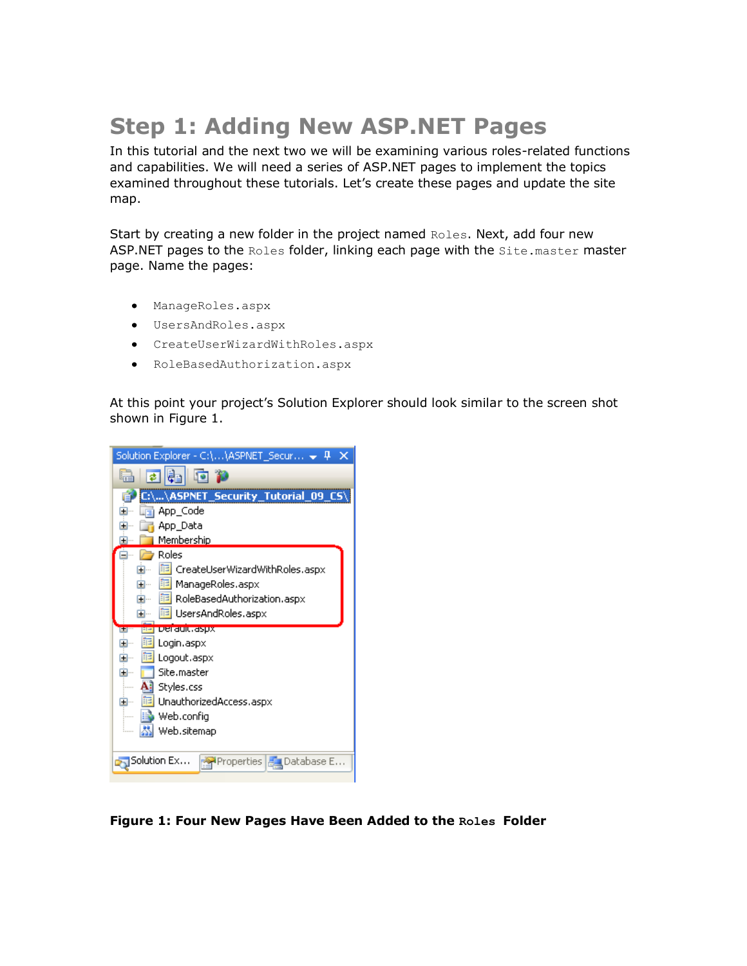# **Step 1: Adding New ASP.NET Pages**

In this tutorial and the next two we will be examining various roles-related functions and capabilities. We will need a series of ASP.NET pages to implement the topics examined throughout these tutorials. Let's create these pages and update the site map.

Start by creating a new folder in the project named Roles. Next, add four new ASP.NET pages to the Roles folder, linking each page with the Site.master master page. Name the pages:

- ManageRoles.aspx
- UsersAndRoles.aspx
- CreateUserWizardWithRoles.aspx
- RoleBasedAuthorization.aspx

At this point your project's Solution Explorer should look similar to the screen shot shown in Figure 1.

| ekio p<br>e.                                         |  |  |  |  |  |  |  |
|------------------------------------------------------|--|--|--|--|--|--|--|
| C:\\ASPNET_Security_Tutorial_09_CS\                  |  |  |  |  |  |  |  |
| App_Code<br>⊞…                                       |  |  |  |  |  |  |  |
| App_Data                                             |  |  |  |  |  |  |  |
| Membership                                           |  |  |  |  |  |  |  |
| Roles                                                |  |  |  |  |  |  |  |
| <mark>iii</mark> CreateUserWizardWithRoles.aspx<br>Ŧ |  |  |  |  |  |  |  |
| <mark>軍</mark> ManageRoles.aspx<br>⊞…                |  |  |  |  |  |  |  |
| <mark>iii</mark> RoleBasedAuthorization.aspx<br>⊞…   |  |  |  |  |  |  |  |
| <mark>軍</mark> UsersAndRoles.aspx<br>⊞…              |  |  |  |  |  |  |  |
|                                                      |  |  |  |  |  |  |  |
| <u>EE FUCI GUIU, GSUX</u><br>œ                       |  |  |  |  |  |  |  |
| 眶<br>Login.aspx<br>⊞…                                |  |  |  |  |  |  |  |
| Logout.aspx<br>⊞…<br>詰                               |  |  |  |  |  |  |  |
| Site.master<br>⊞…                                    |  |  |  |  |  |  |  |
| All Styles.css                                       |  |  |  |  |  |  |  |
| UnauthorizedAccess.aspx<br>⊞…                        |  |  |  |  |  |  |  |
| Web.config                                           |  |  |  |  |  |  |  |
| Web.sitemap<br>i                                     |  |  |  |  |  |  |  |
|                                                      |  |  |  |  |  |  |  |
| Solution Ex…<br>Properties   Bu Database E           |  |  |  |  |  |  |  |

**Figure 1: Four New Pages Have Been Added to the Roles Folder**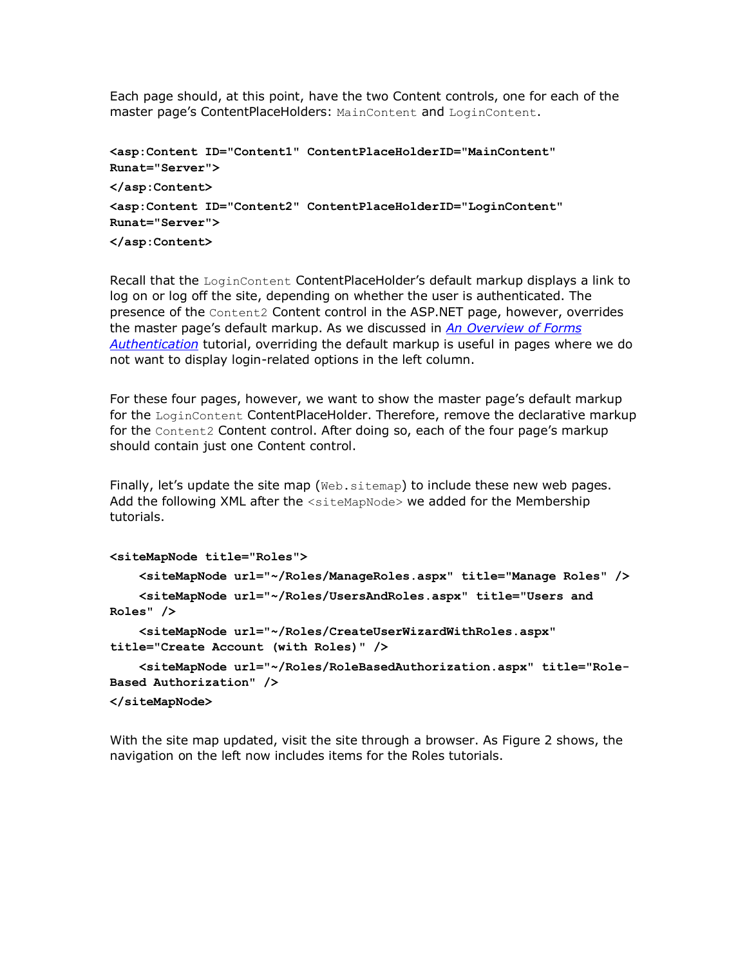Each page should, at this point, have the two Content controls, one for each of the master page's ContentPlaceHolders: MainContent and LoginContent.

```
<asp:Content ID="Content1" ContentPlaceHolderID="MainContent" 
Runat="Server">
</asp:Content>
<asp:Content ID="Content2" ContentPlaceHolderID="LoginContent" 
Runat="Server">
</asp:Content>
```
Recall that the LoginContent ContentPlaceHolder's default markup displays a link to log on or log off the site, depending on whether the user is authenticated. The presence of the Content2 Content control in the ASP.NET page, however, overrides the master page's default markup. As we discussed in *[An Overview of Forms](http://www.asp.net/learn/security/tutorial-02-cs.aspx)  [Authentication](http://www.asp.net/learn/security/tutorial-02-cs.aspx)* tutorial, overriding the default markup is useful in pages where we do not want to display login-related options in the left column.

For these four pages, however, we want to show the master page's default markup for the LoginContent ContentPlaceHolder. Therefore, remove the declarative markup for the Content2 Content control. After doing so, each of the four page's markup should contain just one Content control.

Finally, let's update the site map ( $W_{\text{eb}}$ , sitemap) to include these new web pages. Add the following XML after the <siteMapNode> we added for the Membership tutorials.

```
<siteMapNode title="Roles">
     <siteMapNode url="~/Roles/ManageRoles.aspx" title="Manage Roles" />
     <siteMapNode url="~/Roles/UsersAndRoles.aspx" title="Users and 
Roles" />
     <siteMapNode url="~/Roles/CreateUserWizardWithRoles.aspx" 
title="Create Account (with Roles)" />
     <siteMapNode url="~/Roles/RoleBasedAuthorization.aspx" title="Role-
Based Authorization" />
</siteMapNode>
```
With the site map updated, visit the site through a browser. As Figure 2 shows, the navigation on the left now includes items for the Roles tutorials.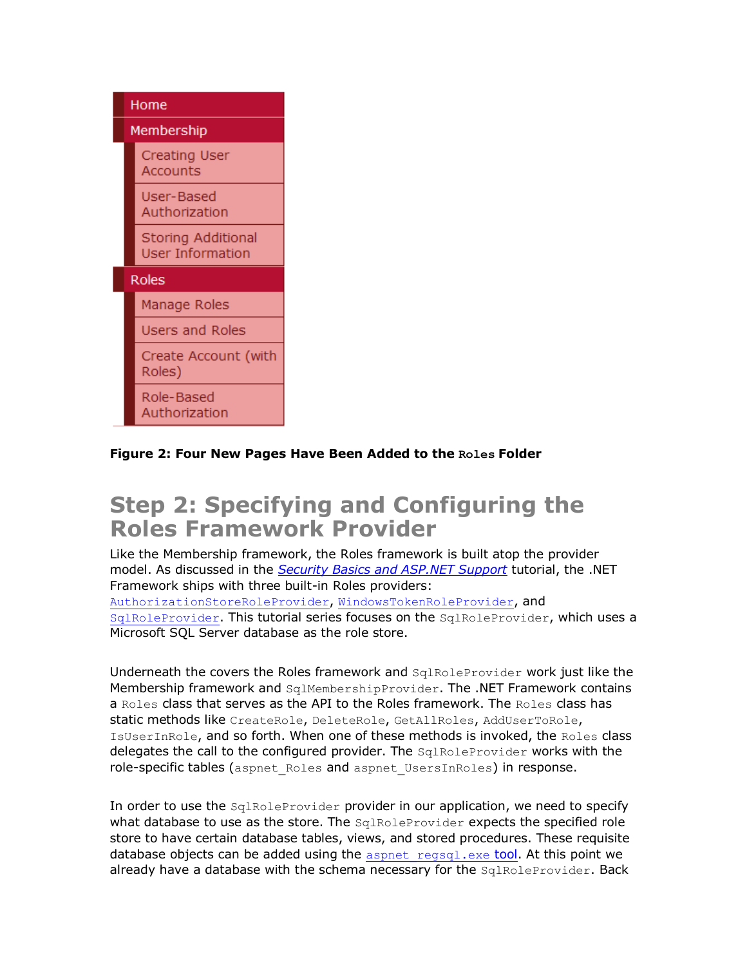

#### **Figure 2: Four New Pages Have Been Added to the Roles Folder**

#### **Step 2: Specifying and Configuring the Roles Framework Provider**

Like the Membership framework, the Roles framework is built atop the provider model. As discussed in the *[Security Basics and ASP.NET Support](http://www.asp.net/learn/security/tutorial-01-cs.aspx)* tutorial, the .NET Framework ships with three built-in Roles providers: [AuthorizationStoreRoleProvider](http://msdn2.microsoft.com/en-us/library/system.web.security.authorizationstoreroleprovider.aspx), [WindowsTokenRoleProvider](http://msdn2.microsoft.com/en-us/library/system.web.security.windowstokenroleprovider.aspx), and [SqlRoleProvider](http://msdn2.microsoft.com/en-us/library/system.web.security.sqlroleprovider.aspx). This tutorial series focuses on the SqlRoleProvider, which uses a Microsoft SQL Server database as the role store.

Underneath the covers the Roles framework and SqlRoleProvider work just like the Membership framework and SqlMembershipProvider. The .NET Framework contains a Roles class that serves as the API to the Roles framework. The Roles class has static methods like CreateRole, DeleteRole, GetAllRoles, AddUserToRole, IsUserInRole, and so forth. When one of these methods is invoked, the Roles class delegates the call to the configured provider. The SqlRoleProvider works with the role-specific tables (aspnet Roles and aspnet UsersInRoles) in response.

In order to use the SqlRoleProvider provider in our application, we need to specify what database to use as the store. The SqlRoleProvider expects the specified role store to have certain database tables, views, and stored procedures. These requisite database objects can be added using the  $a$ spnet regsql.exe tool. At this point we already have a database with the schema necessary for the SqlRoleProvider. Back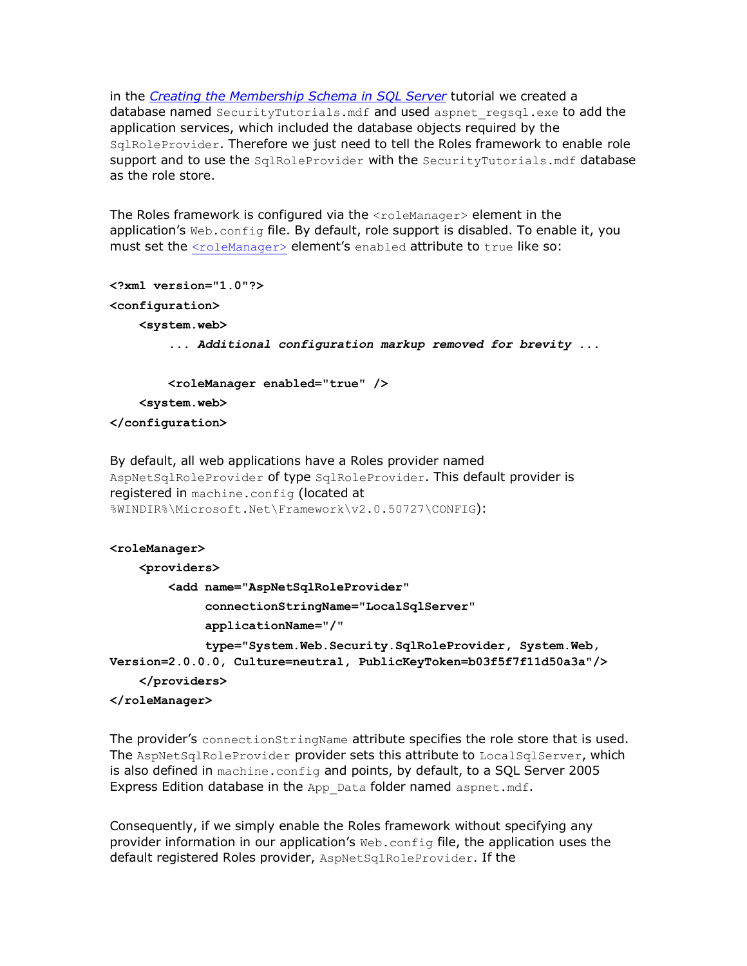in the *[Creating the Membership Schema in SQL Server](http://www.asp.net/learn/security/tutorial-04-cs.aspx)* tutorial we created a database named SecurityTutorials.mdf and used aspnet regsql.exe to add the application services, which included the database objects required by the SqlRoleProvider. Therefore we just need to tell the Roles framework to enable role support and to use the SqlRoleProvider with the SecurityTutorials.mdf database as the role store.

The Roles framework is configured via the <roleManager> element in the application's  $Web.config$  file. By default, role support is disabled. To enable it, you must set the [<roleManager>](http://msdn2.microsoft.com/en-us/library/ms164660.aspx) element's enabled attribute to true like so:

```
<?xml version="1.0"?>
<configuration>
     <system.web>
         ... Additional configuration markup removed for brevity ...
         <roleManager enabled="true" />
     <system.web>
```
**</configuration>**

```
By default, all web applications have a Roles provider named 
AspNetSqlRoleProvider of type SqlRoleProvider. This default provider is
registered in machine.config (located at
%WINDIR%\Microsoft.Net\Framework\v2.0.50727\CONFIG):
```
#### **<roleManager>**

 **<providers>**

 **<add name="AspNetSqlRoleProvider"**

 **connectionStringName="LocalSqlServer"**

 **applicationName="/"**

 **type="System.Web.Security.SqlRoleProvider, System.Web, Version=2.0.0.0, Culture=neutral, PublicKeyToken=b03f5f7f11d50a3a"/>**

```
 </providers>
```
**</roleManager>**

The provider's connectionStringName attribute specifies the role store that is used. The AspNetSqlRoleProvider provider sets this attribute to LocalSqlServer, which is also defined in machine.config and points, by default, to a SQL Server 2005 Express Edition database in the App Data folder named aspnet.mdf.

Consequently, if we simply enable the Roles framework without specifying any provider information in our application's Web.config file, the application uses the default registered Roles provider, AspNetSqlRoleProvider. If the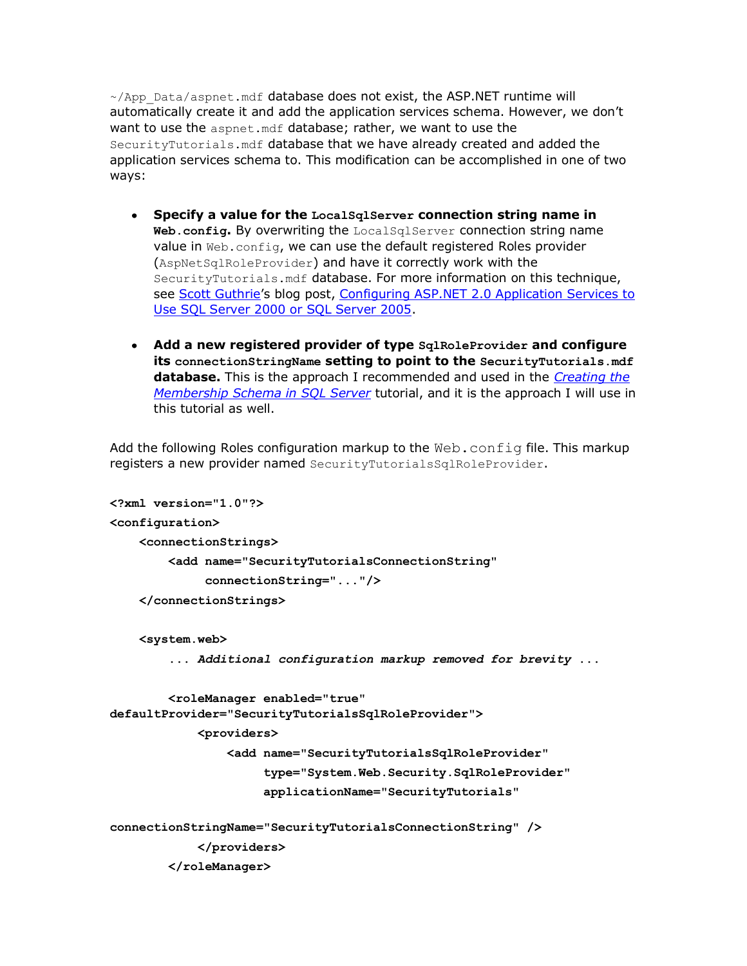$\sim$ /App\_Data/aspnet.mdf database does not exist, the ASP.NET runtime will automatically create it and add the application services schema. However, we don't want to use the aspnet.mdf database; rather, we want to use the SecurityTutorials.mdf database that we have already created and added the application services schema to. This modification can be accomplished in one of two ways:

- **Specify a value for the LocalSqlServer connection string name in Web.config.** By overwriting the LocalSqlServer connection string name value in Web.config, we can use the default registered Roles provider (AspNetSqlRoleProvider) and have it correctly work with the SecurityTutorials.mdf database. For more information on this technique, see [Scott Guthrie](http://weblogs.asp.net/scottgu/)'s blog post, Configuring ASP.NET 2.0 Application Services to [Use SQL Server 2000 or SQL Server 2005.](http://weblogs.asp.net/scottgu/archive/2005/08/25/423703.aspx)
- **Add a new registered provider of type SqlRoleProvider and configure its connectionStringName setting to point to the SecurityTutorials.mdf database.** This is the approach I recommended and used in the *[Creating the](http://www.asp.net/learn/security/tutorial-04-cs.aspx)  [Membership Schema in SQL Server](http://www.asp.net/learn/security/tutorial-04-cs.aspx)* tutorial, and it is the approach I will use in this tutorial as well.

Add the following Roles configuration markup to the  $Web$ . config file. This markup registers a new provider named SecurityTutorialsSqlRoleProvider.

```
<?xml version="1.0"?>
<configuration>
     <connectionStrings>
         <add name="SecurityTutorialsConnectionString"
              connectionString="..."/>
     </connectionStrings>
     <system.web>
         ... Additional configuration markup removed for brevity ...
         <roleManager enabled="true"
defaultProvider="SecurityTutorialsSqlRoleProvider">
             <providers>
                 <add name="SecurityTutorialsSqlRoleProvider"
                      type="System.Web.Security.SqlRoleProvider"
                      applicationName="SecurityTutorials"
connectionStringName="SecurityTutorialsConnectionString" />
             </providers>
```

```
 </roleManager>
```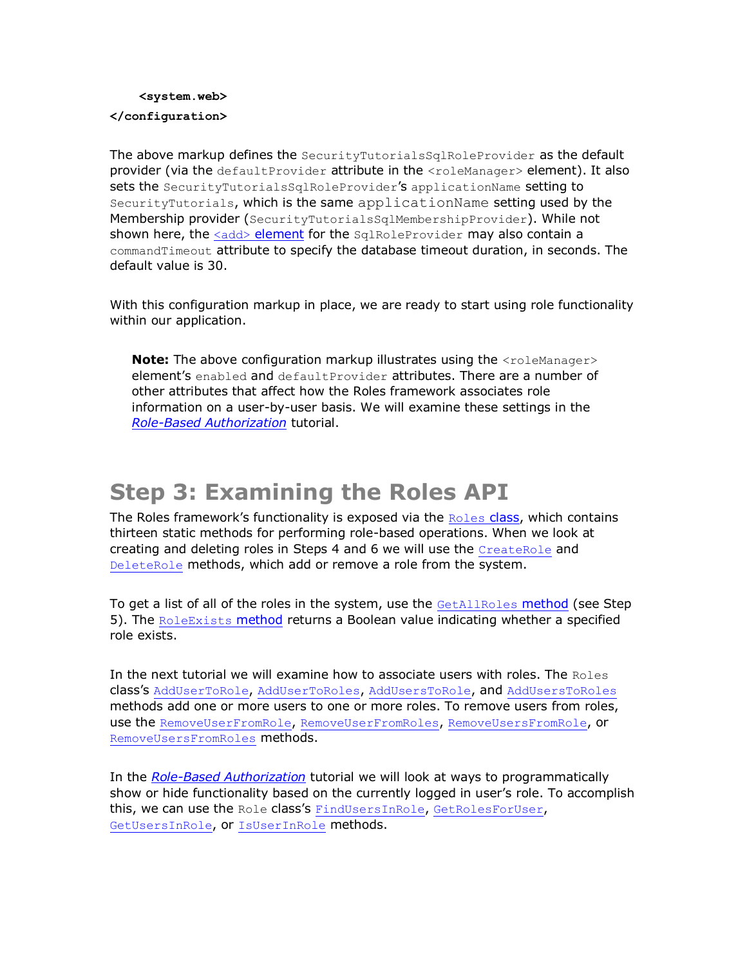#### **<system.web> </configuration>**

The above markup defines the SecurityTutorialsSqlRoleProvider as the default provider (via the defaultProvider attribute in the <roleManager> element). It also sets the SecurityTutorialsSqlRoleProvider's applicationName setting to SecurityTutorials, which is the same applicationName setting used by the Membership provider (SecurityTutorialsSqlMembershipProvider). While not shown here, the <add> [element](http://msdn2.microsoft.com/en-us/library/ms164662.aspx) for the SqlRoleProvider may also contain a commandTimeout attribute to specify the database timeout duration, in seconds. The default value is 30.

With this configuration markup in place, we are ready to start using role functionality within our application.

**Note:** The above configuration markup illustrates using the <roleManager> element's enabled and defaultProvider attributes. There are a number of other attributes that affect how the Roles framework associates role information on a user-by-user basis. We will examine these settings in the *[Role-Based Authorization](http://www.asp.net/learn/security/tutorial-11-cs.aspx)* tutorial.

## **Step 3: Examining the Roles API**

The [Roles](http://msdn2.microsoft.com/en-us/library/system.web.security.roles.aspx) framework's functionality is exposed via the  $_{\text{Roles}}$  class, which contains thirteen static methods for performing role-based operations. When we look at creating and deleting roles in Steps 4 and 6 we will use the [CreateRole](http://msdn2.microsoft.com/en-us/library/system.web.security.roles.createrole.aspx) and [DeleteRole](http://msdn2.microsoft.com/en-us/library/system.web.security.roles.deleterole.aspx) methods, which add or remove a role from the system.

To get a list of all of the roles in the system, use the [GetAllRoles](http://msdn2.microsoft.com/en-us/library/system.web.security.roles.getallroles.aspx) method (see Step 5). The [RoleExists](http://msdn2.microsoft.com/en-us/library/system.web.security.roles.roleexists.aspx) method returns a Boolean value indicating whether a specified role exists.

In the next tutorial we will examine how to associate users with roles. The  $\text{Roles}$ class's [AddUserToRole](http://msdn2.microsoft.com/en-us/library/system.web.security.roles.addusertorole.aspx), [AddUserToRoles](http://msdn2.microsoft.com/en-us/library/system.web.security.roles.addusertoroles.aspx), [AddUsersToRole](http://msdn2.microsoft.com/en-us/library/system.web.security.roles.adduserstorole.aspx), and [AddUsersToRoles](http://msdn2.microsoft.com/en-us/library/system.web.security.roles.adduserstoroles.aspx) methods add one or more users to one or more roles. To remove users from roles, use the [RemoveUserFromRole](http://msdn2.microsoft.com/en-us/library/system.web.security.roles.removeuserfromrole.aspx), [RemoveUserFromRoles](http://msdn2.microsoft.com/en-us/library/system.web.security.roles.removeuserfromroles.aspx), [RemoveUsersFromRole](http://msdn2.microsoft.com/en-us/library/system.web.security.roles.removeusersfromrole.aspx), or [RemoveUsersFromRoles](http://msdn2.microsoft.com/en-us/library/system.web.security.roles.removeusersfromroles.aspx) methods.

In the *[Role-Based Authorization](http://www.asp.net/learn/security/tutorial-11-cs.aspx)* tutorial we will look at ways to programmatically show or hide functionality based on the currently logged in user's role. To accomplish this, we can use the Role class's [FindUsersInRole](http://msdn2.microsoft.com/en-us/library/system.web.security.roles.findusersinrole.aspx), [GetRolesForUser](http://msdn2.microsoft.com/en-us/library/system.web.security.roles.getrolesforuser.aspx), [GetUsersInRole](http://msdn2.microsoft.com/en-us/library/system.web.security.roles.getusersinrole.aspx), or [IsUserInRole](http://msdn2.microsoft.com/en-us/library/system.web.security.roles.isuserinrole.aspx) methods.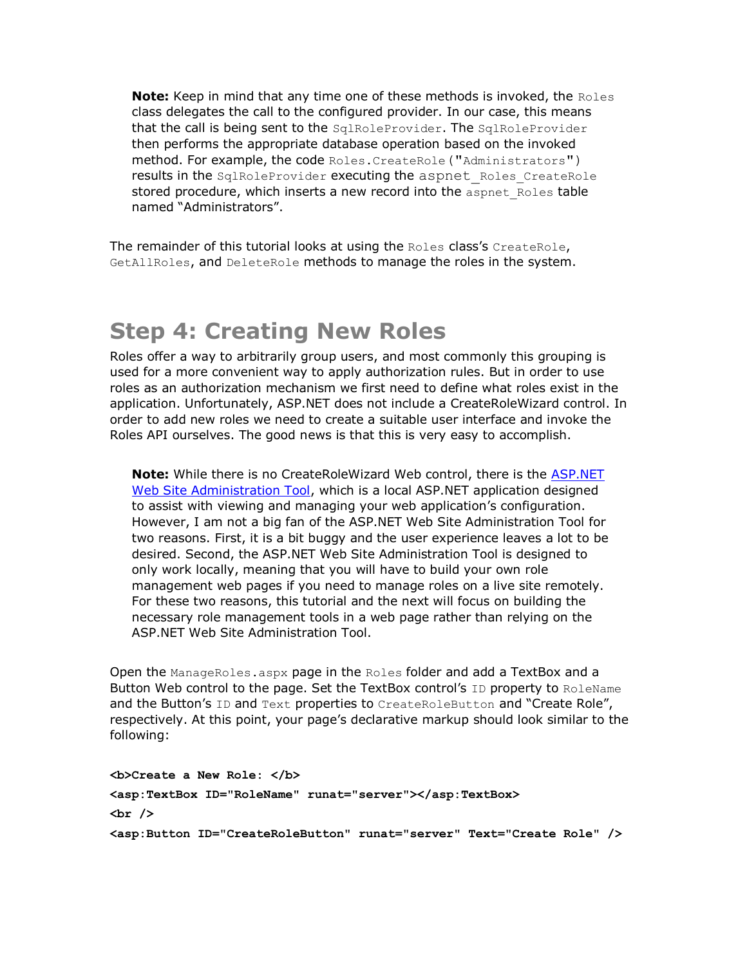**Note:** Keep in mind that any time one of these methods is invoked, the Roles class delegates the call to the configured provider. In our case, this means that the call is being sent to the SqlRoleProvider. The SqlRoleProvider then performs the appropriate database operation based on the invoked method. For example, the code Roles. CreateRole ("Administrators") results in the SqlRoleProvider executing the aspnet Roles CreateRole stored procedure, which inserts a new record into the aspnet Roles table named "Administrators".

The remainder of this tutorial looks at using the Roles class's CreateRole, GetAllRoles, and DeleteRole methods to manage the roles in the system.

#### **Step 4: Creating New Roles**

Roles offer a way to arbitrarily group users, and most commonly this grouping is used for a more convenient way to apply authorization rules. But in order to use roles as an authorization mechanism we first need to define what roles exist in the application. Unfortunately, ASP.NET does not include a CreateRoleWizard control. In order to add new roles we need to create a suitable user interface and invoke the Roles API ourselves. The good news is that this is very easy to accomplish.

**Note:** While there is no CreateRoleWizard Web control, there is the [ASP.NET](http://msdn2.microsoft.com/en-us/library/ms228053.aspx)  [Web Site Administration Tool,](http://msdn2.microsoft.com/en-us/library/ms228053.aspx) which is a local ASP.NET application designed to assist with viewing and managing your web application's configuration. However, I am not a big fan of the ASP.NET Web Site Administration Tool for two reasons. First, it is a bit buggy and the user experience leaves a lot to be desired. Second, the ASP.NET Web Site Administration Tool is designed to only work locally, meaning that you will have to build your own role management web pages if you need to manage roles on a live site remotely. For these two reasons, this tutorial and the next will focus on building the necessary role management tools in a web page rather than relying on the ASP.NET Web Site Administration Tool.

Open the ManageRoles.aspx page in the Roles folder and add a TextBox and a Button Web control to the page. Set the TextBox control's ID property to RoleName and the Button's ID and Text properties to CreateRoleButton and "Create Role", respectively. At this point, your page's declarative markup should look similar to the following:

**<b>Create a New Role: </b> <asp:TextBox ID="RoleName" runat="server"></asp:TextBox> <br /> <asp:Button ID="CreateRoleButton" runat="server" Text="Create Role" />**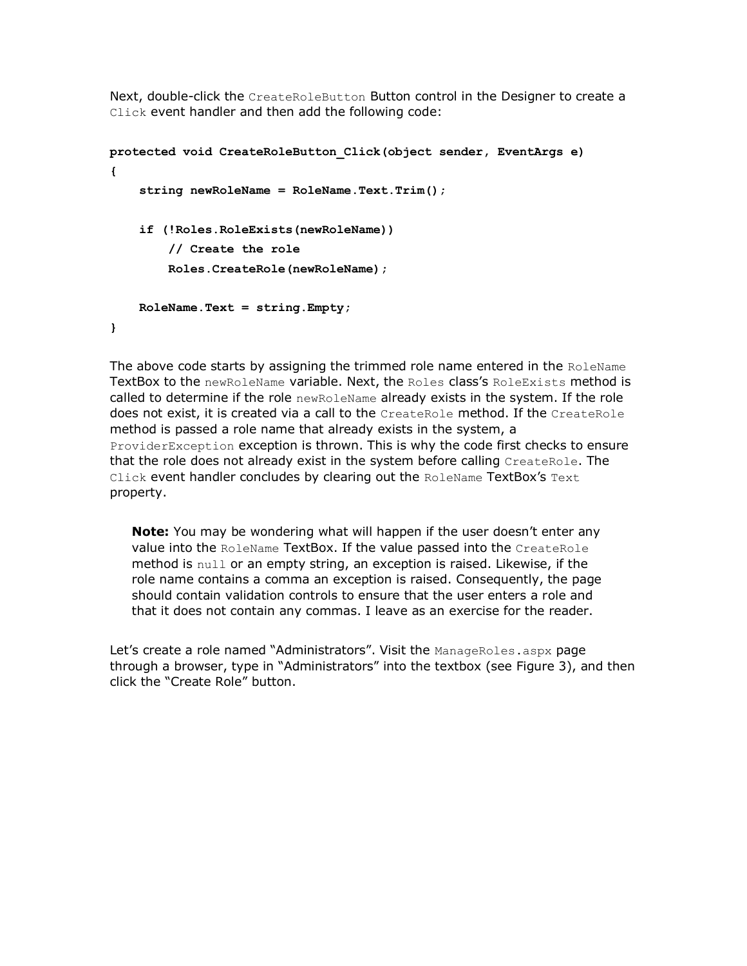Next, double-click the CreateRoleButton Button control in the Designer to create a Click event handler and then add the following code:

```
protected void CreateRoleButton_Click(object sender, EventArgs e)
{
     string newRoleName = RoleName.Text.Trim();
     if (!Roles.RoleExists(newRoleName))
         // Create the role
         Roles.CreateRole(newRoleName);
     RoleName.Text = string.Empty;
}
```
The above code starts by assigning the trimmed role name entered in the RoleName TextBox to the newRoleName variable. Next, the Roles class's RoleExists method is called to determine if the role newRoleName already exists in the system. If the role does not exist, it is created via a call to the CreateRole method. If the CreateRole method is passed a role name that already exists in the system, a ProviderException exception is thrown. This is why the code first checks to ensure that the role does not already exist in the system before calling CreateRole. The Click event handler concludes by clearing out the RoleName TextBox's Text property.

**Note:** You may be wondering what will happen if the user doesn't enter any value into the RoleName TextBox. If the value passed into the CreateRole method is null or an empty string, an exception is raised. Likewise, if the role name contains a comma an exception is raised. Consequently, the page should contain validation controls to ensure that the user enters a role and that it does not contain any commas. I leave as an exercise for the reader.

Let's create a role named "Administrators". Visit the ManageRoles.aspx page through a browser, type in "Administrators" into the textbox (see Figure 3), and then click the "Create Role" button.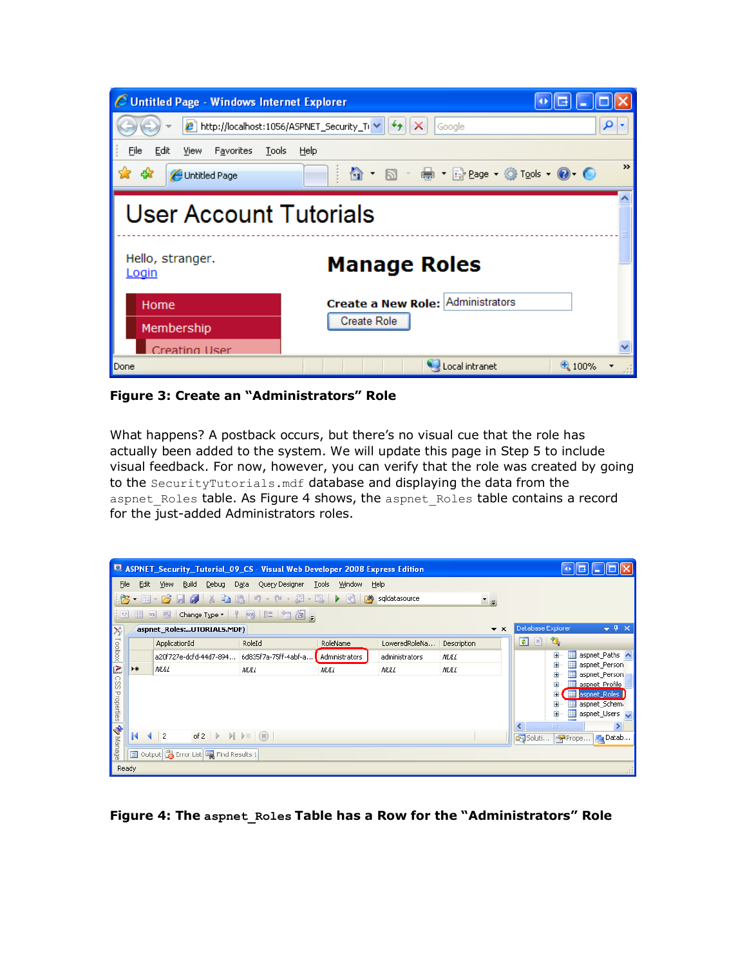| C Untitled Page - Windows Internet Explorer  |                                                   |               |  |  |  |  |
|----------------------------------------------|---------------------------------------------------|---------------|--|--|--|--|
| € http://localhost:1056/ASPNET_Security_Ti V | Google<br>$\left\Vert \leftarrow\right\Vert$<br>× | ρ             |  |  |  |  |
| File<br>Edit<br>Favorites<br>Tools<br>View.  | Help                                              |               |  |  |  |  |
| 47<br>Untitled Page                          | ✿ · ጪ · ⇔ · Ry Page · ⓒ T <u>o</u> ols • ❷ · ◎    | $\rightarrow$ |  |  |  |  |
| User Account Tutorials                       |                                                   |               |  |  |  |  |
| Hello, stranger.<br>Login                    | <b>Manage Roles</b>                               |               |  |  |  |  |
| Home                                         | Create a New Role: Administrators                 |               |  |  |  |  |
| Membership                                   | Create Role                                       |               |  |  |  |  |
| Creating User                                |                                                   |               |  |  |  |  |
| Done                                         | Local intranet                                    | $+100%$       |  |  |  |  |

**Figure 3: Create an "Administrators" Role**

What happens? A postback occurs, but there's no visual cue that the role has actually been added to the system. We will update this page in Step 5 to include visual feedback. For now, however, you can verify that the role was created by going to the SecurityTutorials.mdf database and displaying the data from the aspnet Roles table. As Figure 4 shows, the aspnet Roles table contains a record for the just-added Administrators roles.

|                                                                               |                                                   | ASPNET_Security_Tutorial_09_CS - Visual Web Developer 2008 Express Edition                    |                        |                                                 |                       |                                  | 꼬리                                                                                                                       |
|-------------------------------------------------------------------------------|---------------------------------------------------|-----------------------------------------------------------------------------------------------|------------------------|-------------------------------------------------|-----------------------|----------------------------------|--------------------------------------------------------------------------------------------------------------------------|
| File<br>臂<br>$ ^{p,q}_{a} $                                                   | Edit                                              | Build<br>Debug<br><b>View</b><br>围<br>501                                                     | Query Designer<br>Data | Tools<br>Window<br>网<br>$\blacktriangleright$ 3 | Help<br>sqldatasource | ™ ≂                              |                                                                                                                          |
|                                                                               | aspnet Roles:UTORIALS.MDF)<br>$\mathbf{v} \times$ |                                                                                               |                        |                                                 |                       | Database Explorer<br>$-4 \times$ |                                                                                                                          |
|                                                                               |                                                   | ApplicationId                                                                                 | RoleId                 | RoleName                                        | LoweredRoleNa         | Description                      | û,<br>$\mathbf{x}$<br>$\vert \overline{\boldsymbol{v}} \vert$                                                            |
|                                                                               |                                                   | a20f727e-dcfd-44d7-894                                                                        | 6d835f7a-75ff-4abf-a   | Administrators                                  | administrators        | <b>NULL</b>                      | aspnet Paths A<br>$\mathbf \Xi$<br>Ħ                                                                                     |
|                                                                               | ▶₩                                                | MA L                                                                                          | <b>MALL</b>            | <b>NULL</b>                                     | <b>NULL</b>           | <b>NULL</b>                      | aspnet Person<br>H.<br>œ<br>aspnet_Person<br>$\overline{+}$                                                              |
| $\gg$ Toolbox $\boxed{\mathbf{A}}$ CSS Properties $\boxed{\mathbf{A}}$ Manage |                                                   |                                                                                               |                        |                                                 |                       |                                  | aspnet Profile<br>$\overline{+}$<br>aspnet_Roles  <br>⊞<br>$\mathbf{H}$<br>aspnet_Schem-<br>Ŧ<br>aspnet_Users<br>H.<br>Ŧ |
|                                                                               | И                                                 | of 2 $\triangleright$ $\triangleright$ $\triangleright$ $\square$ $\square$<br>$\overline{2}$ |                        |                                                 |                       |                                  | $\rightarrow$<br>Ш<br>K.<br>Soluti<br><b>A</b> Datab<br>Prope                                                            |
|                                                                               |                                                   | Output <b>B</b> Error List <b>R</b> Find Results 1                                            |                        |                                                 |                       |                                  |                                                                                                                          |
| Ready                                                                         |                                                   |                                                                                               |                        |                                                 |                       |                                  |                                                                                                                          |

**Figure 4: The aspnet\_Roles Table has a Row for the "Administrators" Role**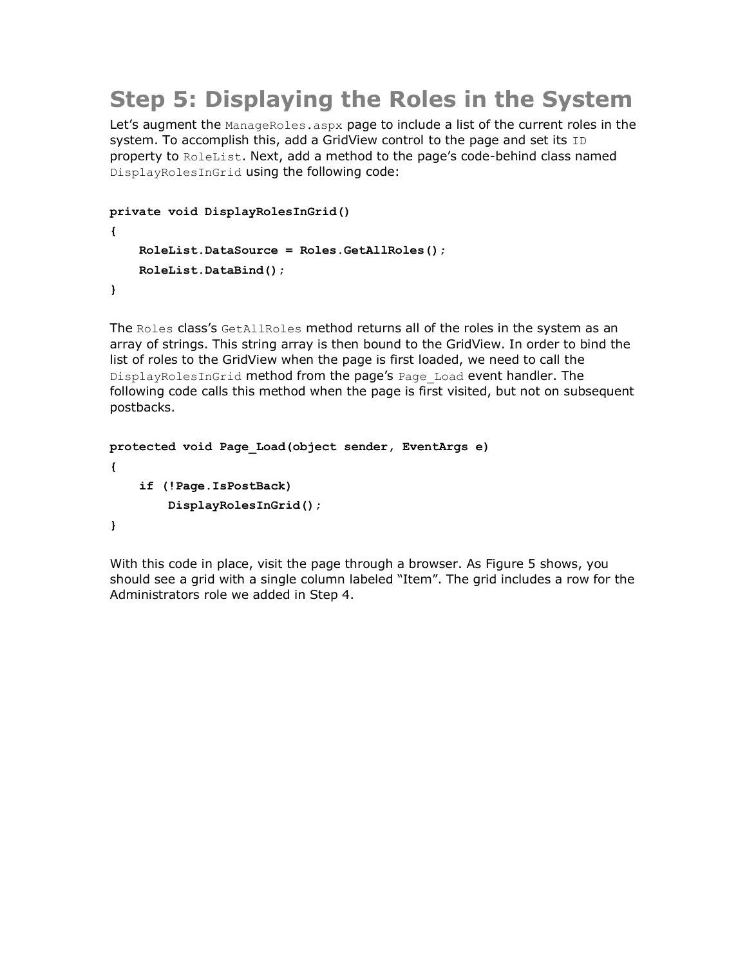## **Step 5: Displaying the Roles in the System**

Let's augment the ManageRoles.aspx page to include a list of the current roles in the system. To accomplish this, add a GridView control to the page and set its ID property to RoleList. Next, add a method to the page's code-behind class named DisplayRolesInGrid using the following code:

```
private void DisplayRolesInGrid()
{
     RoleList.DataSource = Roles.GetAllRoles();
     RoleList.DataBind();
}
```
The Roles class's GetAllRoles method returns all of the roles in the system as an array of strings. This string array is then bound to the GridView. In order to bind the list of roles to the GridView when the page is first loaded, we need to call the DisplayRolesInGrid method from the page's Page Load event handler. The following code calls this method when the page is first visited, but not on subsequent postbacks.

```
protected void Page_Load(object sender, EventArgs e)
{
     if (!Page.IsPostBack)
         DisplayRolesInGrid();
}
```
With this code in place, visit the page through a browser. As Figure 5 shows, you should see a grid with a single column labeled "Item". The grid includes a row for the Administrators role we added in Step 4.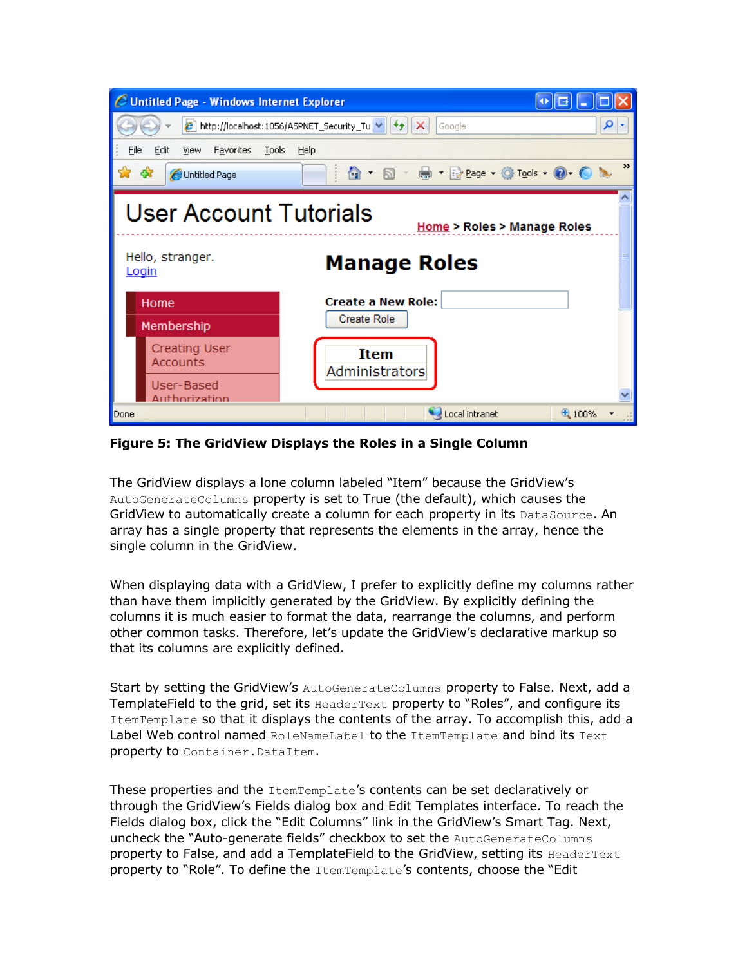| C Untitled Page - Windows Internet Explorer                            |                                                                         |
|------------------------------------------------------------------------|-------------------------------------------------------------------------|
|                                                                        | ρ<br>$e$ http://localhost:1056/ASPNET_Security_Tu $\vee$<br>×<br>Google |
| File<br>Edit<br>Favorites<br>View<br>Tools                             | Help                                                                    |
| 45<br>Untitled Page                                                    | $\rightarrow$<br><b>合 回 最 日 Bege で Tools @ ◎ ?</b>                      |
| <b>User Account Tutorials</b><br>Hello, stranger.                      | Home > Roles > Manage Roles<br><b>Manage Roles</b>                      |
| <u>Login</u><br>Home<br>Membership                                     | <b>Create a New Role:</b><br><b>Create Role</b>                         |
| <b>Creating User</b><br><b>Accounts</b><br>User-Based<br>Authorization | <b>Item</b><br>Administrators                                           |
| Done                                                                   | Local intranet<br>€ 100%                                                |

**Figure 5: The GridView Displays the Roles in a Single Column**

The GridView displays a lone column labeled "Item" because the GridView's AutoGenerateColumns property is set to True (the default), which causes the GridView to automatically create a column for each property in its DataSource. An array has a single property that represents the elements in the array, hence the single column in the GridView.

When displaying data with a GridView, I prefer to explicitly define my columns rather than have them implicitly generated by the GridView. By explicitly defining the columns it is much easier to format the data, rearrange the columns, and perform other common tasks. Therefore, let's update the GridView's declarative markup so that its columns are explicitly defined.

Start by setting the GridView's AutoGenerateColumns property to False. Next, add a TemplateField to the grid, set its HeaderText property to "Roles", and configure its ItemTemplate so that it displays the contents of the array. To accomplish this, add a Label Web control named RoleNameLabel to the ItemTemplate and bind its Text property to Container. DataItem.

These properties and the ItemTemplate's contents can be set declaratively or through the GridView's Fields dialog box and Edit Templates interface. To reach the Fields dialog box, click the "Edit Columns" link in the GridView's Smart Tag. Next, uncheck the "Auto-generate fields" checkbox to set the AutoGenerateColumns property to False, and add a TemplateField to the GridView, setting its HeaderText property to "Role". To define the ItemTemplate's contents, choose the "Edit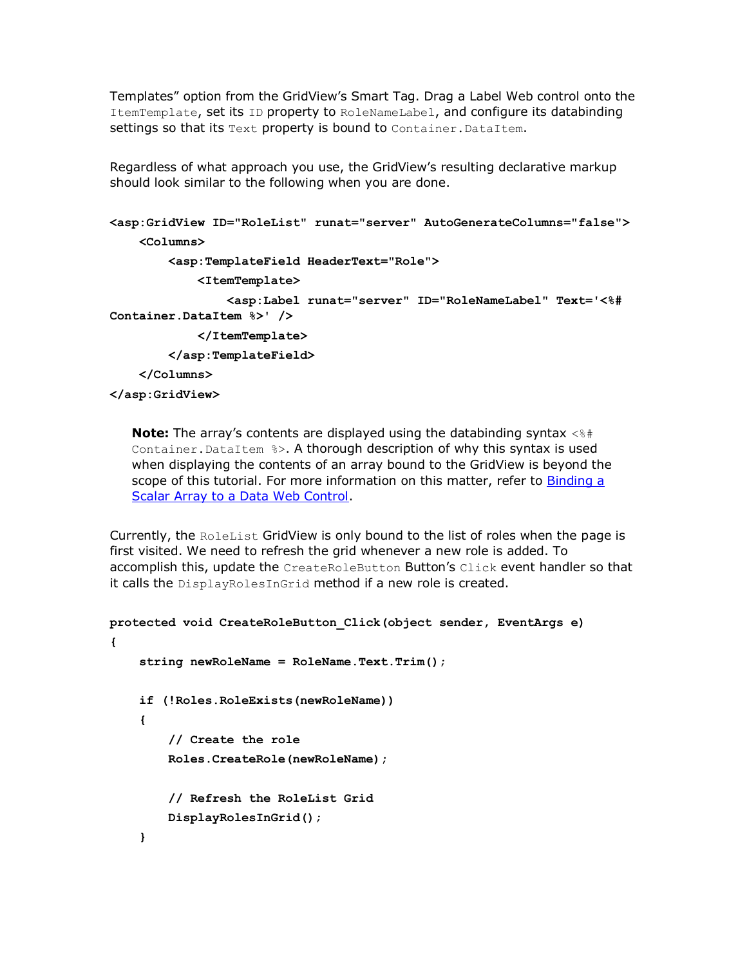Templates" option from the GridView's Smart Tag. Drag a Label Web control onto the ItemTemplate, set its ID property to RoleNameLabel, and configure its databinding settings so that its Text property is bound to Container. DataItem.

Regardless of what approach you use, the GridView's resulting declarative markup should look similar to the following when you are done.

```
<asp:GridView ID="RoleList" runat="server" AutoGenerateColumns="false">
     <Columns>
         <asp:TemplateField HeaderText="Role">
             <ItemTemplate>
                 <asp:Label runat="server" ID="RoleNameLabel" Text='<%# 
Container.DataItem %>' />
             </ItemTemplate>
         </asp:TemplateField>
```

```
 </Columns>
```
**</asp:GridView>**

**Note:** The array's contents are displayed using the databinding syntax  $\langle$  \\s\man{#\times}}} Container.DataItem %>. A thorough description of why this syntax is used when displaying the contents of an array bound to the GridView is beyond the scope of this tutorial. For more information on this matter, refer to Binding a [Scalar Array to a Data Web Control.](http://aspnet.4guysfromrolla.com/articles/082504-1.aspx)

Currently, the RoleList GridView is only bound to the list of roles when the page is first visited. We need to refresh the grid whenever a new role is added. To accomplish this, update the CreateRoleButton Button's Click event handler so that it calls the DisplayRolesInGrid method if a new role is created.

```
protected void CreateRoleButton_Click(object sender, EventArgs e)
{
     string newRoleName = RoleName.Text.Trim();
     if (!Roles.RoleExists(newRoleName))
     {
         // Create the role
         Roles.CreateRole(newRoleName);
         // Refresh the RoleList Grid
         DisplayRolesInGrid();
     }
```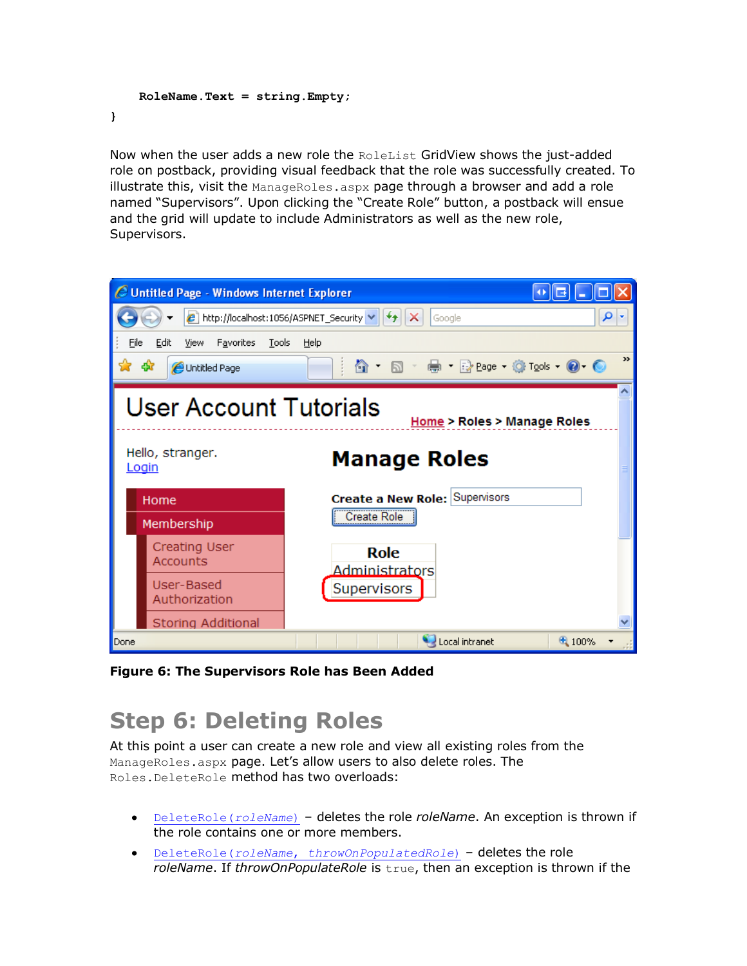```
 RoleName.Text = string.Empty;
}
```
Now when the user adds a new role the RoleList GridView shows the just-added role on postback, providing visual feedback that the role was successfully created. To illustrate this, visit the  $M$ anageRoles.aspx page through a browser and add a role named "Supervisors". Upon clicking the "Create Role" button, a postback will ensue and the grid will update to include Administrators as well as the new role, Supervisors.



**Figure 6: The Supervisors Role has Been Added**

## **Step 6: Deleting Roles**

At this point a user can create a new role and view all existing roles from the ManageRoles.aspx page. Let's allow users to also delete roles. The Roles.DeleteRole method has two overloads:

- [DeleteRole\(](http://msdn2.microsoft.com/en-us/library/ek4sywc0.aspx)*roleName*) deletes the role *roleName*. An exception is thrown if the role contains one or more members.
- DeleteRole(*roleName*, *[throwOnPopulatedRole](http://msdn2.microsoft.com/en-us/library/38h6wf59.aspx)*) deletes the role *roleName*. If *throwOnPopulateRole* is true, then an exception is thrown if the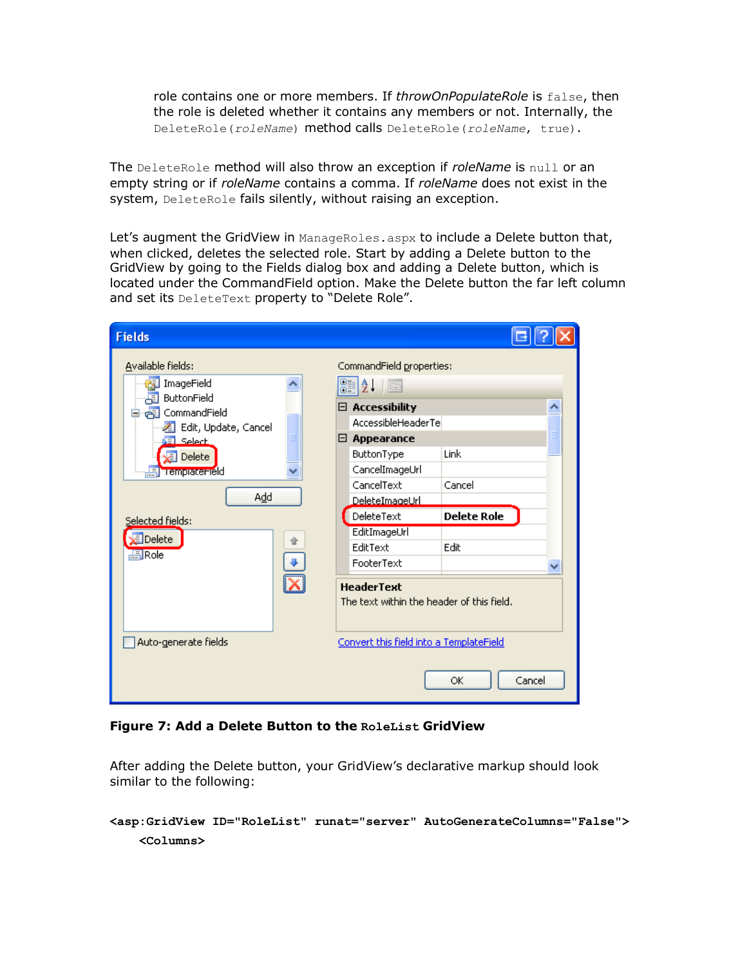role contains one or more members. If *throwOnPopulateRole* is false, then the role is deleted whether it contains any members or not. Internally, the DeleteRole(*roleName*) method calls DeleteRole(*roleName*, true).

The DeleteRole method will also throw an exception if *roleName* is null or an empty string or if *roleName* contains a comma. If *roleName* does not exist in the system, DeleteRole fails silently, without raising an exception.

Let's augment the GridView in ManageRoles.aspx to include a Delete button that, when clicked, deletes the selected role. Start by adding a Delete button to the GridView by going to the Fields dialog box and adding a Delete button, which is located under the CommandField option. Make the Delete button the far left column and set its DeleteText property to "Delete Role".

| <b>Fields</b>                                                                                                  |                                                                                                                                                              |  |
|----------------------------------------------------------------------------------------------------------------|--------------------------------------------------------------------------------------------------------------------------------------------------------------|--|
| Available fields:<br>ImageField<br>ButtonField<br>围<br>commandField<br>Edit, Update, Cancel<br>$\equiv$ Select | CommandField properties:<br>81 2 L<br>$\boxed{\Xi}$<br><b>Accessibility</b><br>8.<br>AccessibleHeaderTel<br>$\boxminus$ Appearance<br>Link                   |  |
| Delete<br><b>黒hempatemeld</b><br>Add<br>Selected fields:<br>Delete<br><b>馬Role</b>                             | ButtonType<br>CancelImageUrl<br>CancelText<br>Cancel<br>DeleteImageUrl<br>DeleteText<br><b>Delete Role</b><br>EditImageUrl<br>EditText<br>Edit<br>FooterText |  |
| Auto-generate fields                                                                                           | <b>HeaderText</b><br>The text within the header of this field.<br>Convert this field into a TemplateField<br>OK<br>Cancel                                    |  |

#### **Figure 7: Add a Delete Button to the RoleList GridView**

After adding the Delete button, your GridView's declarative markup should look similar to the following:

```
<asp:GridView ID="RoleList" runat="server" AutoGenerateColumns="False">
    <Columns>
```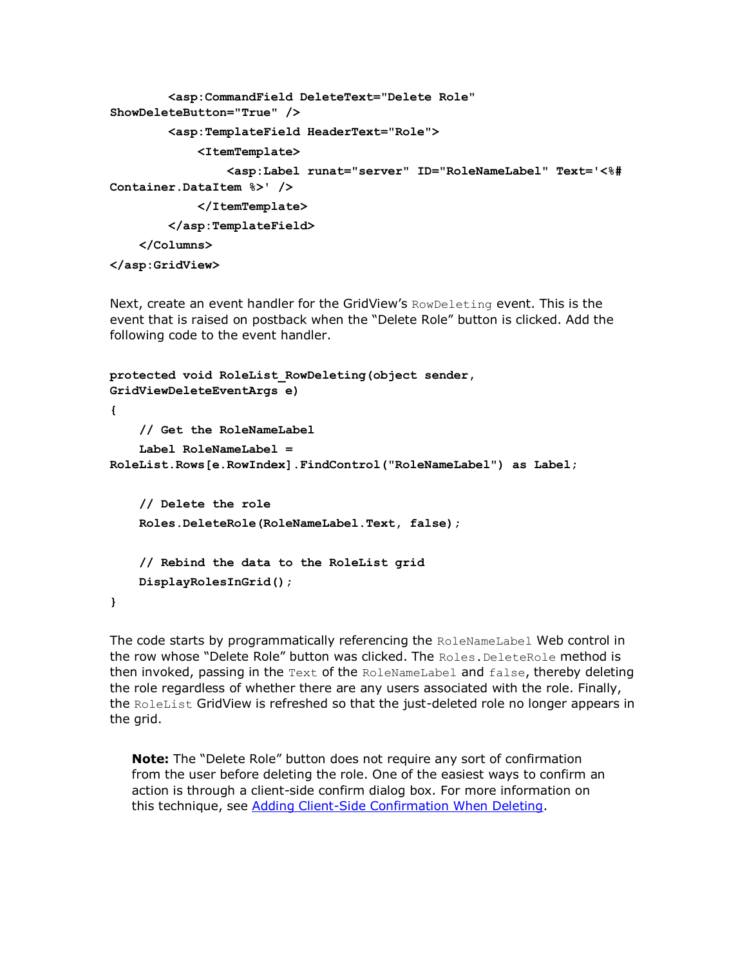```
 <asp:CommandField DeleteText="Delete Role" 
ShowDeleteButton="True" />
         <asp:TemplateField HeaderText="Role">
             <ItemTemplate>
                 <asp:Label runat="server" ID="RoleNameLabel" Text='<%# 
Container.DataItem %>' />
             </ItemTemplate>
         </asp:TemplateField>
     </Columns>
```
**</asp:GridView>**

Next, create an event handler for the GridView's RowDeleting event. This is the event that is raised on postback when the "Delete Role" button is clicked. Add the following code to the event handler.

```
protected void RoleList_RowDeleting(object sender, 
GridViewDeleteEventArgs e)
{
     // Get the RoleNameLabel
     Label RoleNameLabel = 
RoleList.Rows[e.RowIndex].FindControl("RoleNameLabel") as Label;
     // Delete the role
     Roles.DeleteRole(RoleNameLabel.Text, false);
     // Rebind the data to the RoleList grid
     DisplayRolesInGrid();
}
```
The code starts by programmatically referencing the RoleNameLabel Web control in the row whose "Delete Role" button was clicked. The Roles. DeleteRole method is then invoked, passing in the  $Text$  of the RoleNameLabel and  $false$ , thereby deleting the role regardless of whether there are any users associated with the role. Finally, the RoleList GridView is refreshed so that the just-deleted role no longer appears in the grid.

**Note:** The "Delete Role" button does not require any sort of confirmation from the user before deleting the role. One of the easiest ways to confirm an action is through a client-side confirm dialog box. For more information on this technique, see [Adding Client-Side Confirmation When Deleting.](http://asp.net/learn/data-access/tutorial-42-cs.aspx)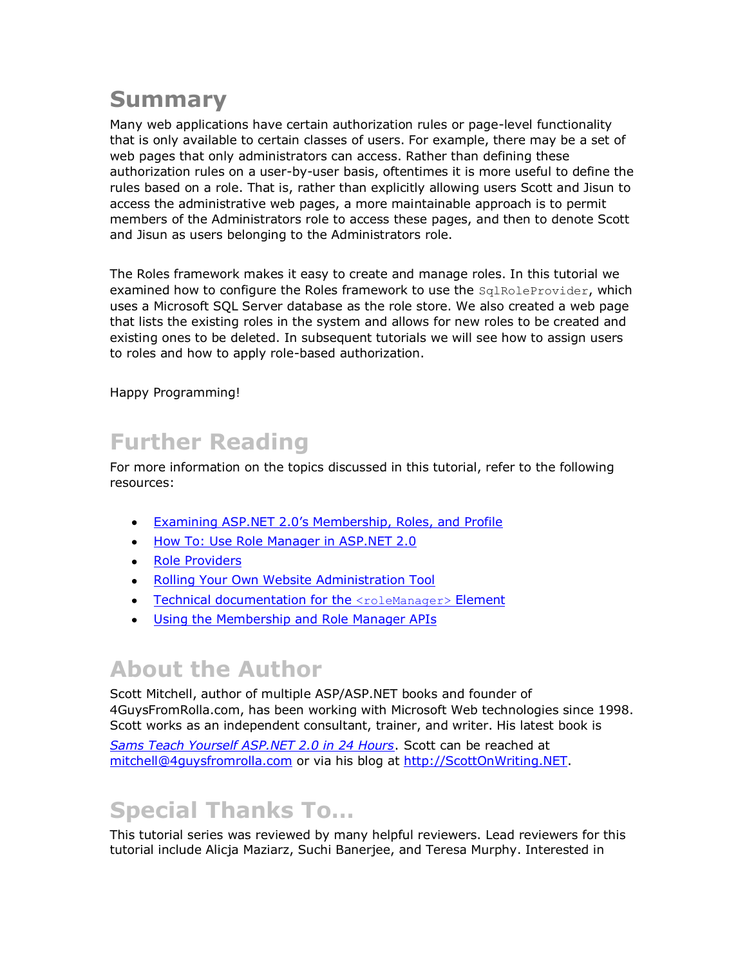#### **Summary**

Many web applications have certain authorization rules or page-level functionality that is only available to certain classes of users. For example, there may be a set of web pages that only administrators can access. Rather than defining these authorization rules on a user-by-user basis, oftentimes it is more useful to define the rules based on a role. That is, rather than explicitly allowing users Scott and Jisun to access the administrative web pages, a more maintainable approach is to permit members of the Administrators role to access these pages, and then to denote Scott and Jisun as users belonging to the Administrators role.

The Roles framework makes it easy to create and manage roles. In this tutorial we examined how to configure the Roles framework to use the SqlRoleProvider, which uses a Microsoft SQL Server database as the role store. We also created a web page that lists the existing roles in the system and allows for new roles to be created and existing ones to be deleted. In subsequent tutorials we will see how to assign users to roles and how to apply role-based authorization.

Happy Programming!

## **Further Reading**

For more information on the topics discussed in this tutorial, refer to the following resources:

- $\bullet$ [Examining ASP.NET 2.0's Membership, Roles, and Profile](http://aspnet.4guysfromrolla.com/articles/120705-1.aspx)
- [How To: Use Role Manager in ASP.NET 2.0](http://msdn2.microsoft.com/en-us/library/ms998314.aspx)
- [Role Providers](http://msdn2.microsoft.com/en-us/library/aa478950.aspx)
- [Rolling Your Own Website Administration Tool](http://aspnet.4guysfromrolla.com/articles/052307-1.aspx)
- [Technical documentation for the](http://msdn2.microsoft.com/en-us/library/ms164660.aspx) <roleManager> Element
- . [Using the Membership and Role Manager APIs](http://quickstarts.asp.net/QuickStartv20/aspnet/doc/security/membership.aspx)

## **About the Author**

Scott Mitchell, author of multiple ASP/ASP.NET books and founder of 4GuysFromRolla.com, has been working with Microsoft Web technologies since 1998. Scott works as an independent consultant, trainer, and writer. His latest book is

*[Sams Teach Yourself ASP.NET 2.0 in 24 Hours](http://www.amazon.com/exec/obidos/ASIN/0672327384/4guysfromrollaco)*. Scott can be reached at [mitchell@4guysfromrolla.com](mailto:mitchell@4guysfromrolla.com) or via his blog at [http://ScottOnWriting.NET.](http://scottonwriting.net/)

## **Special Thanks To…**

This tutorial series was reviewed by many helpful reviewers. Lead reviewers for this tutorial include Alicja Maziarz, Suchi Banerjee, and Teresa Murphy. Interested in